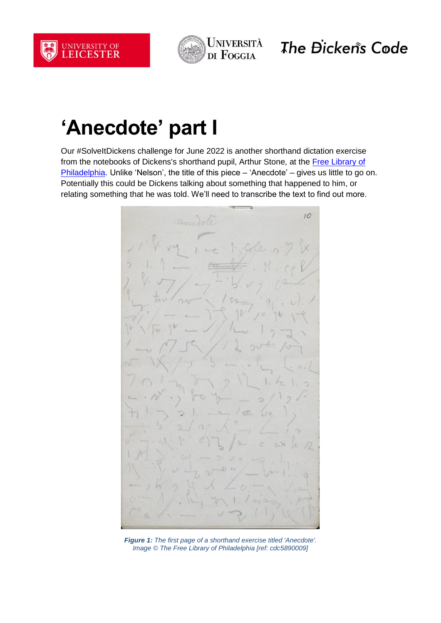



The Đicken's Code

## **'Anecdote' part I**

Our #SolveItDickens challenge for June 2022 is another shorthand dictation exercise from the notebooks of Dickens's shorthand pupil, Arthur Stone, at the Free Library of [Philadelphia.](https://www.freelibrary.org/) Unlike 'Nelson', the title of this piece – 'Anecdote' – gives us little to go on. Potentially this could be Dickens talking about something that happened to him, or relating something that he was told. We'll need to transcribe the text to find out more.



*Figure 1: The first page of a shorthand exercise titled 'Anecdote'. Image © The Free Library of Philadelphia [ref: cdc5890009]*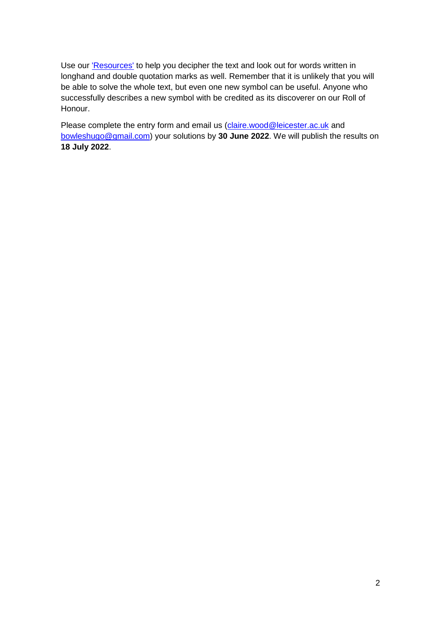Use our ['Resources'](https://dickenscode.org/resources/) to help you decipher the text and look out for words written in longhand and double quotation marks as well. Remember that it is unlikely that you will be able to solve the whole text, but even one new symbol can be useful. Anyone who successfully describes a new symbol with be credited as its discoverer on our Roll of Honour.

Please complete the entry form and email us [\(claire.wood@leicester.ac.uk](mailto:claire.wood@leicester.ac.uk) and [bowleshugo@gmail.com\)](mailto:bowleshugo@gmail.com) your solutions by **30 June 2022**. We will publish the results on **18 July 2022**.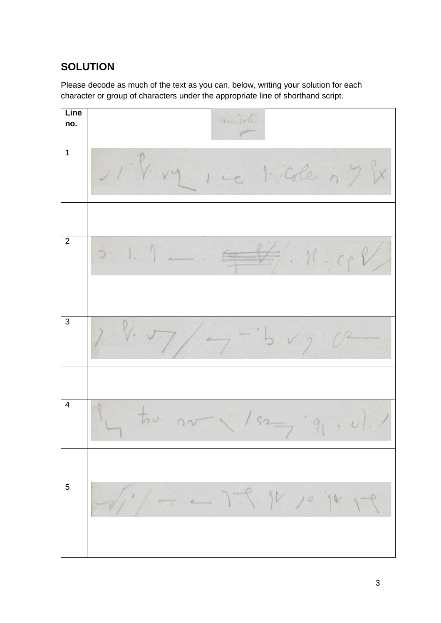## **SOLUTION**

Please decode as much of the text as you can, below, writing your solution for each character or group of characters under the appropriate line of shorthand script.

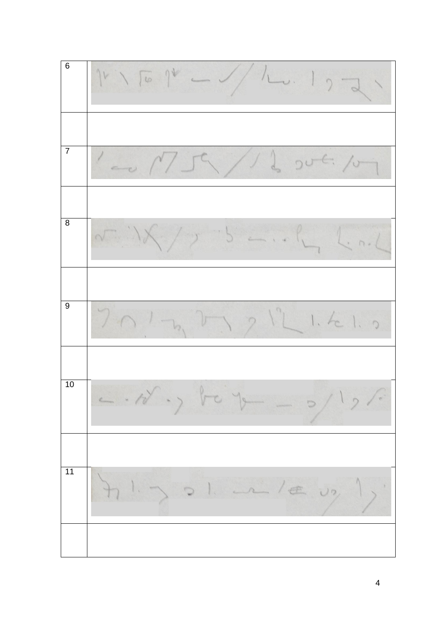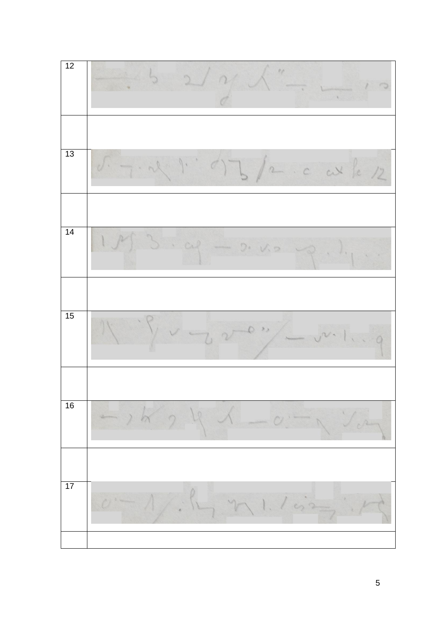